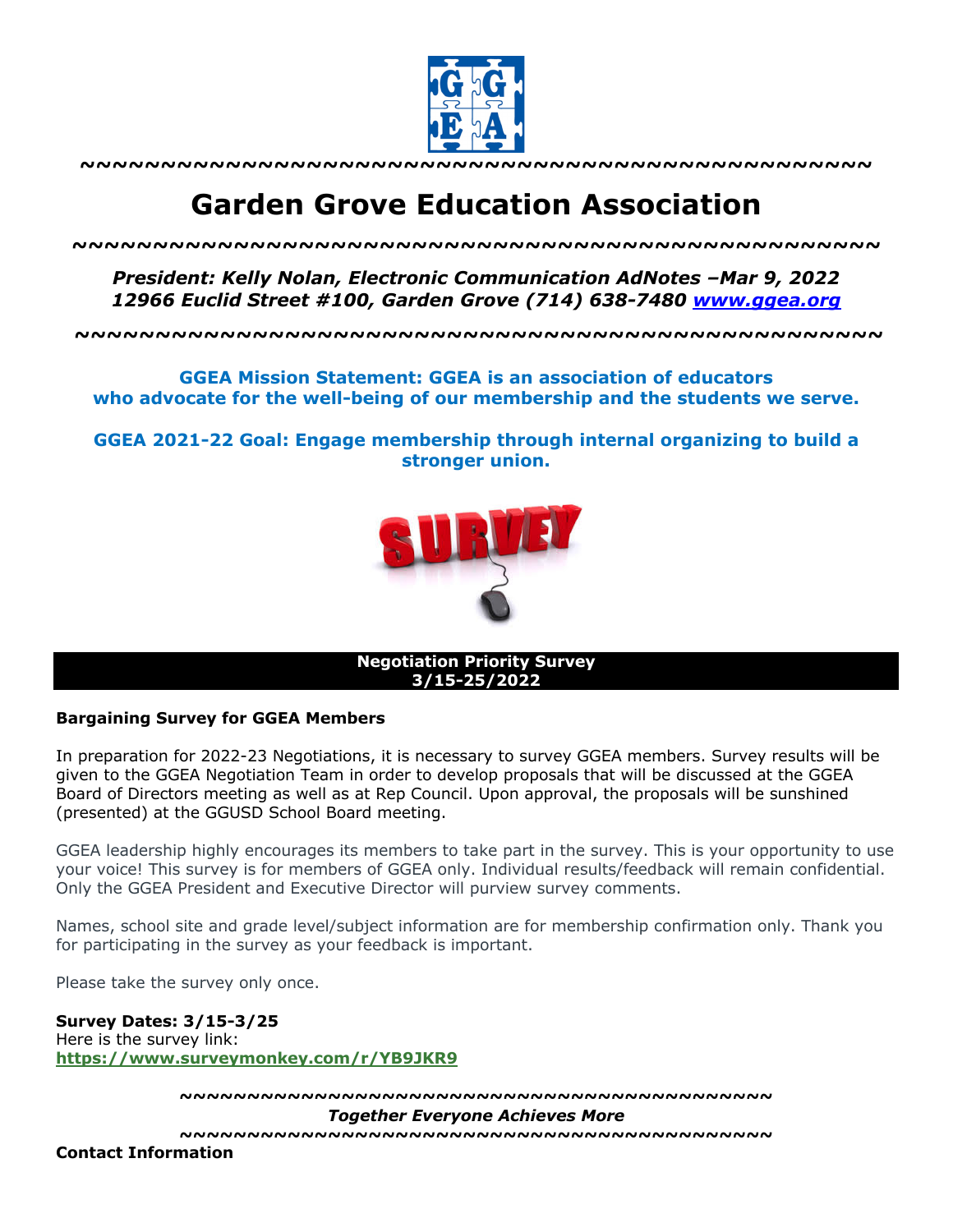

**~~~~~~~~~~~~~~~~~~~~~~~~~~~~~~~~~~~~~~~~~~~~~~~~~**

## **Garden Grove Education Association**

*~~~~~~~~~~~~~~~~~~~~~~~~~~~~~~~~~~~~~~~~~~~~~~~~~~*

*President: Kelly Nolan, Electronic Communication AdNotes –Mar 9, 2022 12966 Euclid Street #100, Garden Grove (714) 638-7480 www.ggea.org*

**~~~~~~~~~~~~~~~~~~~~~~~~~~~~~~~~~~~~~~~~~~~~~~~~~~**

**GGEA Mission Statement: GGEA is an association of educators who advocate for the well-being of our membership and the students we serve.**

**GGEA 2021-22 Goal: Engage membership through internal organizing to build a stronger union.**



**Negotiation Priority Survey 3/15-25/2022**

## **Bargaining Survey for GGEA Members**

In preparation for 2022-23 Negotiations, it is necessary to survey GGEA members. Survey results will be given to the GGEA Negotiation Team in order to develop proposals that will be discussed at the GGEA Board of Directors meeting as well as at Rep Council. Upon approval, the proposals will be sunshined (presented) at the GGUSD School Board meeting.

GGEA leadership highly encourages its members to take part in the survey. This is your opportunity to use your voice! This survey is for members of GGEA only. Individual results/feedback will remain confidential. Only the GGEA President and Executive Director will purview survey comments.

Names, school site and grade level/subject information are for membership confirmation only. Thank you for participating in the survey as your feedback is important.

Please take the survey only once.

**Survey Dates: 3/15-3/25** Here is the survey link: **https://www.surveymonkey.com/r/YB9JKR9**

**~~~~~~~~~~~~~~~~~~~~~~~~~~~~~~~~~~~~~~~~~~~~**

*Together Everyone Achieves More*

**~~~~~~~~~~~~~~~~~~~~~~~~~~~~~~~~~~~~~~~~~~~~**

**Contact Information**